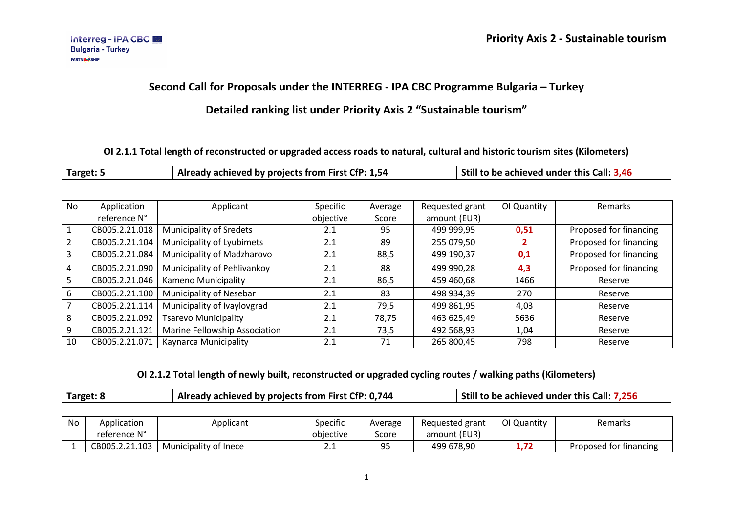# **Second Call for Proposals under the INTERREG - IPA CBC Programme Bulgaria – Turkey**

### **Detailed ranking list under Priority Axis 2 "Sustainable tourism"**

#### **OI 2.1.1 Total length of reconstructed or upgraded access roads to natural, cultural and historic tourism sites (Kilometers)**

| Target: ! | $^{\prime}$ Already achieved by projects from First CfP: 1,54 $^{\prime}$ | Still to be achieved under this Call: 3,46 |
|-----------|---------------------------------------------------------------------------|--------------------------------------------|
|-----------|---------------------------------------------------------------------------|--------------------------------------------|

| <b>No</b>      | Application    | Applicant                      | Specific  | Average | Requested grant | OI Quantity | Remarks                |
|----------------|----------------|--------------------------------|-----------|---------|-----------------|-------------|------------------------|
|                | reference N°   |                                | objective | Score   | amount (EUR)    |             |                        |
| 1              | CB005.2.21.018 | <b>Municipality of Sredets</b> | 2.1       | 95      | 499 999,95      | 0,51        | Proposed for financing |
| $\overline{2}$ | CB005.2.21.104 | Municipality of Lyubimets      | 2.1       | 89      | 255 079,50      |             | Proposed for financing |
| 3              | CB005.2.21.084 | Municipality of Madzharovo     | 2.1       | 88,5    | 499 190,37      | 0,1         | Proposed for financing |
| 4              | CB005.2.21.090 | Municipality of Pehlivankoy    | 2.1       | 88      | 499 990,28      | 4,3         | Proposed for financing |
| 5              | CB005.2.21.046 | Kameno Municipality            | 2.1       | 86,5    | 459 460,68      | 1466        | Reserve                |
| 6              | CB005.2.21.100 | Municipality of Nesebar        | 2.1       | 83      | 498 934,39      | 270         | Reserve                |
| 7              | CB005.2.21.114 | Municipality of Ivaylovgrad    | 2.1       | 79,5    | 499 861,95      | 4,03        | Reserve                |
| 8              | CB005.2.21.092 | <b>Tsarevo Municipality</b>    | 2.1       | 78,75   | 463 625,49      | 5636        | Reserve                |
| 9              | CB005.2.21.121 | Marine Fellowship Association  | 2.1       | 73,5    | 492 568,93      | 1,04        | Reserve                |
| 10             | CB005.2.21.071 | Kaynarca Municipality          | 2.1       | 71      | 265 800,45      | 798         | Reserve                |

#### **OI 2.1.2 Total length of newly built, reconstructed or upgraded cycling routes / walking paths (Kilometers)**

| No | Application    | Applicant             | Specific  | Average   | Requested grant | OI Quantity | Remarks                |
|----|----------------|-----------------------|-----------|-----------|-----------------|-------------|------------------------|
|    | reference N°   |                       | objective | Score     | amount (EUR)    |             |                        |
|    | CB005.2.21.103 | Municipality of Inece | <u>.</u>  | ΩĘ<br>- - | 499 678,90      | 1./Z        | Proposed for financing |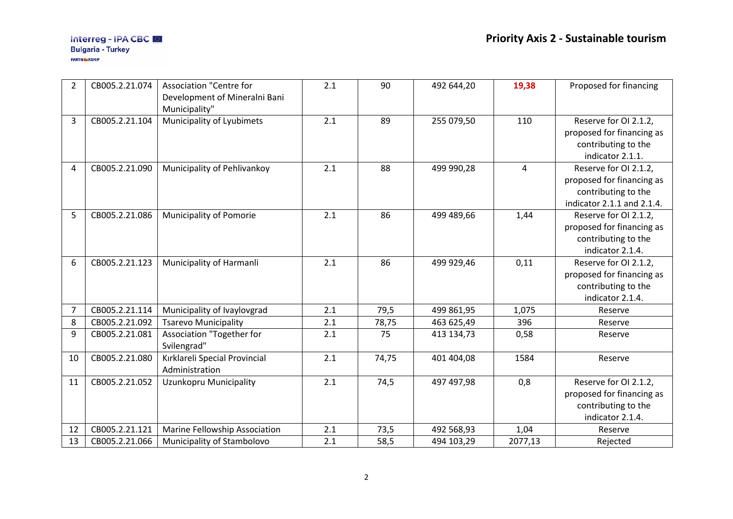#### Interreg - IPA CBC Bulgaria - Turkey PARTNE RSHIP

| $\overline{2}$ | CB005.2.21.074 | <b>Association "Centre for</b> | 2.1 | 90    | 492 644,20 | 19,38          | Proposed for financing     |
|----------------|----------------|--------------------------------|-----|-------|------------|----------------|----------------------------|
|                |                | Development of Mineralni Bani  |     |       |            |                |                            |
|                |                | Municipality"                  |     |       |            |                |                            |
| 3              | CB005.2.21.104 | Municipality of Lyubimets      | 2.1 | 89    | 255 079,50 | 110            | Reserve for OI 2.1.2,      |
|                |                |                                |     |       |            |                | proposed for financing as  |
|                |                |                                |     |       |            |                | contributing to the        |
|                |                |                                |     |       |            |                | indicator 2.1.1.           |
| 4              | CB005.2.21.090 | Municipality of Pehlivankoy    | 2.1 | 88    | 499 990,28 | $\overline{4}$ | Reserve for OI 2.1.2,      |
|                |                |                                |     |       |            |                | proposed for financing as  |
|                |                |                                |     |       |            |                | contributing to the        |
|                |                |                                |     |       |            |                | indicator 2.1.1 and 2.1.4. |
| 5              | CB005.2.21.086 | Municipality of Pomorie        | 2.1 | 86    | 499 489,66 | 1,44           | Reserve for OI 2.1.2,      |
|                |                |                                |     |       |            |                | proposed for financing as  |
|                |                |                                |     |       |            |                | contributing to the        |
|                |                |                                |     |       |            |                | indicator 2.1.4.           |
| 6              | CB005.2.21.123 | Municipality of Harmanli       | 2.1 | 86    | 499 929,46 | 0,11           | Reserve for OI 2.1.2,      |
|                |                |                                |     |       |            |                | proposed for financing as  |
|                |                |                                |     |       |            |                | contributing to the        |
|                |                |                                |     |       |            |                | indicator 2.1.4.           |
| 7              | CB005.2.21.114 | Municipality of Ivaylovgrad    | 2.1 | 79,5  | 499 861,95 | 1,075          | Reserve                    |
| 8              | CB005.2.21.092 | <b>Tsarevo Municipality</b>    | 2.1 | 78,75 | 463 625,49 | 396            | Reserve                    |
| 9              | CB005.2.21.081 | Association "Together for      | 2.1 | 75    | 413 134,73 | 0,58           | Reserve                    |
|                |                | Svilengrad"                    |     |       |            |                |                            |
| 10             | CB005.2.21.080 | Kırklareli Special Provincial  | 2.1 | 74,75 | 401 404,08 | 1584           | Reserve                    |
|                |                | Administration                 |     |       |            |                |                            |
| 11             | CB005.2.21.052 | Uzunkopru Municipality         | 2.1 | 74,5  | 497 497,98 | 0,8            | Reserve for OI 2.1.2,      |
|                |                |                                |     |       |            |                | proposed for financing as  |
|                |                |                                |     |       |            |                | contributing to the        |
|                |                |                                |     |       |            |                | indicator 2.1.4.           |
| 12             | CB005.2.21.121 | Marine Fellowship Association  | 2.1 | 73,5  | 492 568,93 | 1,04           | Reserve                    |
| 13             | CB005.2.21.066 | Municipality of Stambolovo     | 2.1 | 58,5  | 494 103,29 | 2077,13        | Rejected                   |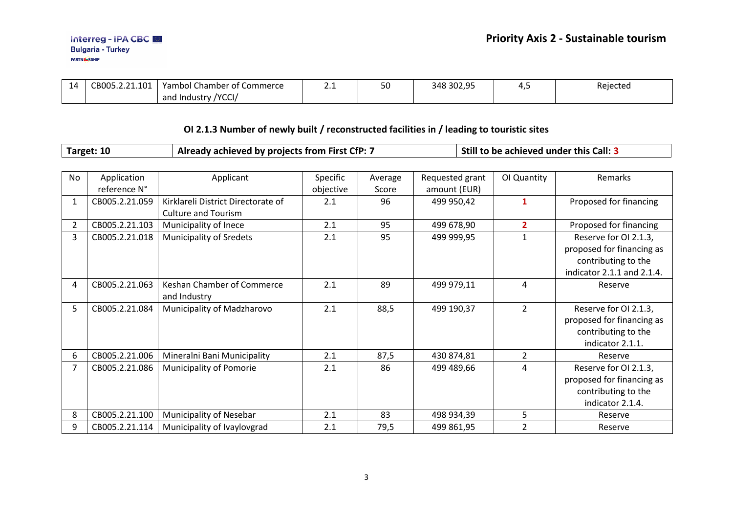| 14 | 101<br>CROO5 2 21<br>. | <b>Yambol Chamber of Commerce</b>       | . . | J U | 348 302,95 | -<br>. | Rejected |
|----|------------------------|-----------------------------------------|-----|-----|------------|--------|----------|
|    |                        | <b>NCCL</b><br>and<br>. Industry<br>ושט |     |     |            |        |          |

# **OI 2.1.3 Number of newly built / reconstructed facilities in / leading to touristic sites**

| Target: 10 | Already achieved by projects from First CfP: 7 | Still to be achieved under this Call: 3 |
|------------|------------------------------------------------|-----------------------------------------|
|------------|------------------------------------------------|-----------------------------------------|

| <b>No</b> | Application    | Applicant                          | Specific  | Average | Requested grant | OI Quantity    | Remarks                    |
|-----------|----------------|------------------------------------|-----------|---------|-----------------|----------------|----------------------------|
|           | reference N°   |                                    | objective | Score   | amount (EUR)    |                |                            |
| 1         | CB005.2.21.059 | Kirklareli District Directorate of | 2.1       | 96      | 499 950,42      | 1              | Proposed for financing     |
|           |                | <b>Culture and Tourism</b>         |           |         |                 |                |                            |
| 2         | CB005.2.21.103 | Municipality of Inece              | 2.1       | 95      | 499 678,90      | $\overline{2}$ | Proposed for financing     |
| 3         | CB005.2.21.018 | <b>Municipality of Sredets</b>     | 2.1       | 95      | 499 999,95      | 1              | Reserve for OI 2.1.3,      |
|           |                |                                    |           |         |                 |                | proposed for financing as  |
|           |                |                                    |           |         |                 |                | contributing to the        |
|           |                |                                    |           |         |                 |                | indicator 2.1.1 and 2.1.4. |
| 4         | CB005.2.21.063 | Keshan Chamber of Commerce         | 2.1       | 89      | 499 979,11      | 4              | Reserve                    |
|           |                | and Industry                       |           |         |                 |                |                            |
| 5         | CB005.2.21.084 | Municipality of Madzharovo         | 2.1       | 88,5    | 499 190,37      | $\overline{2}$ | Reserve for OI 2.1.3,      |
|           |                |                                    |           |         |                 |                | proposed for financing as  |
|           |                |                                    |           |         |                 |                | contributing to the        |
|           |                |                                    |           |         |                 |                | indicator 2.1.1.           |
| 6         | CB005.2.21.006 | Mineralni Bani Municipality        | 2.1       | 87,5    | 430 874,81      | $\overline{2}$ | Reserve                    |
| 7         | CB005.2.21.086 | Municipality of Pomorie            | 2.1       | 86      | 499 489,66      | 4              | Reserve for OI 2.1.3,      |
|           |                |                                    |           |         |                 |                | proposed for financing as  |
|           |                |                                    |           |         |                 |                | contributing to the        |
|           |                |                                    |           |         |                 |                | indicator 2.1.4.           |
| 8         | CB005.2.21.100 | Municipality of Nesebar            | 2.1       | 83      | 498 934,39      | 5              | Reserve                    |
| 9         | CB005.2.21.114 | Municipality of Ivaylovgrad        | 2.1       | 79,5    | 499 861,95      | $\overline{2}$ | Reserve                    |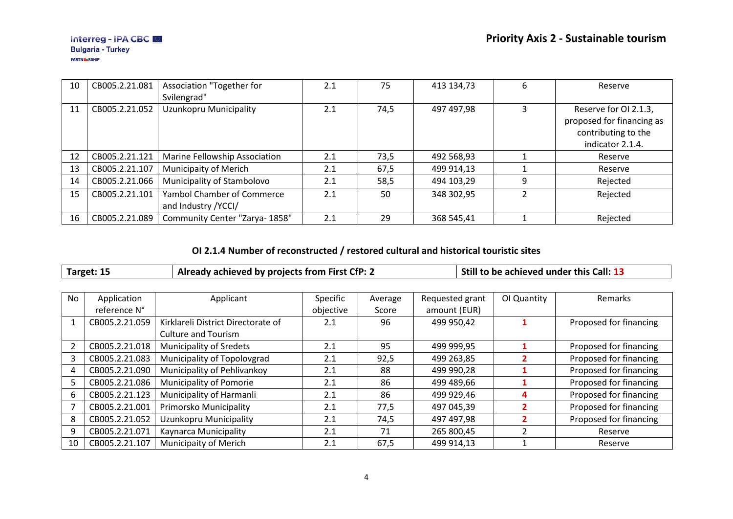| 10 | CB005.2.21.081 | Association "Together for         | 2.1 | 75   | 413 134,73 | 6 | Reserve                   |
|----|----------------|-----------------------------------|-----|------|------------|---|---------------------------|
|    |                | Svilengrad"                       |     |      |            |   |                           |
| 11 | CB005.2.21.052 | Uzunkopru Municipality            | 2.1 | 74,5 | 497 497,98 |   | Reserve for OI 2.1.3,     |
|    |                |                                   |     |      |            |   | proposed for financing as |
|    |                |                                   |     |      |            |   | contributing to the       |
|    |                |                                   |     |      |            |   | indicator 2.1.4.          |
| 12 | CB005.2.21.121 | Marine Fellowship Association     | 2.1 | 73,5 | 492 568,93 |   | Reserve                   |
| 13 | CB005.2.21.107 | Municipaity of Merich             | 2.1 | 67,5 | 499 914,13 |   | Reserve                   |
| 14 | CB005.2.21.066 | Municipality of Stambolovo        | 2.1 | 58,5 | 494 103,29 | 9 | Rejected                  |
| 15 | CB005.2.21.101 | <b>Yambol Chamber of Commerce</b> | 2.1 | 50   | 348 302,95 |   | Rejected                  |
|    |                | and Industry / YCCI/              |     |      |            |   |                           |
| 16 | CB005.2.21.089 | Community Center "Zarya- 1858"    | 2.1 | 29   | 368 545,41 |   | Rejected                  |

### **OI 2.1.4 Number of reconstructed / restored cultural and historical touristic sites**

| Target: 15 | Already achieved by projects from First CfP: 2 | Still to be achieved under this Call: 13 |
|------------|------------------------------------------------|------------------------------------------|

| <b>No</b> | Application    | Applicant                          | Specific  | Average | Requested grant | OI Quantity | <b>Remarks</b>         |
|-----------|----------------|------------------------------------|-----------|---------|-----------------|-------------|------------------------|
|           | reference N°   |                                    | objective | Score   | amount (EUR)    |             |                        |
|           | CB005.2.21.059 | Kirklareli District Directorate of | 2.1       | 96      | 499 950,42      |             | Proposed for financing |
|           |                | <b>Culture and Tourism</b>         |           |         |                 |             |                        |
|           | CB005.2.21.018 | <b>Municipality of Sredets</b>     | 2.1       | 95      | 499 999,95      |             | Proposed for financing |
|           | CB005.2.21.083 | Municipality of Topolovgrad        | 2.1       | 92,5    | 499 263,85      |             | Proposed for financing |
| 4         | CB005.2.21.090 | Municipality of Pehlivankoy        | 2.1       | 88      | 499 990,28      |             | Proposed for financing |
| 5         | CB005.2.21.086 | Municipality of Pomorie            | 2.1       | 86      | 499 489,66      |             | Proposed for financing |
| 6         | CB005.2.21.123 | Municipality of Harmanli           | 2.1       | 86      | 499 929,46      | 4           | Proposed for financing |
|           | CB005.2.21.001 | Primorsko Municipality             | 2.1       | 77,5    | 497 045,39      |             | Proposed for financing |
| 8         | CB005.2.21.052 | Uzunkopru Municipality             | 2.1       | 74,5    | 497 497,98      |             | Proposed for financing |
| 9         | CB005.2.21.071 | Kaynarca Municipality              | 2.1       | 71      | 265 800,45      |             | Reserve                |
| 10        | CB005.2.21.107 | Municipaity of Merich              | 2.1       | 67,5    | 499 914,13      |             | Reserve                |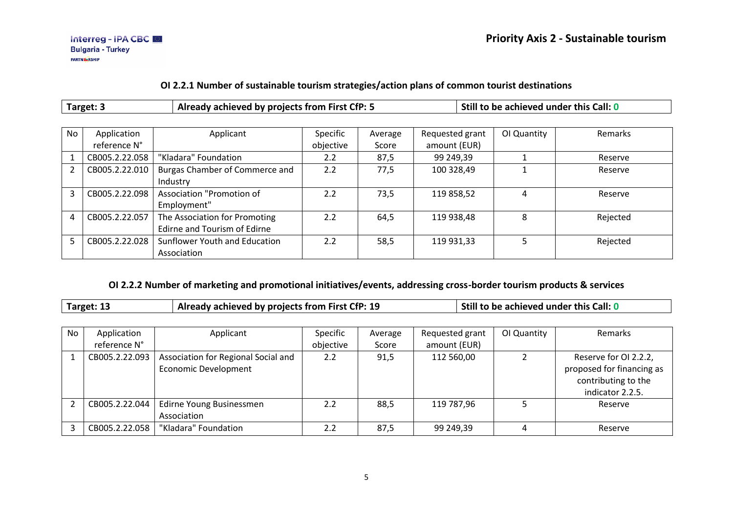#### **OI 2.2.1 Number of sustainable tourism strategies/action plans of common tourist destinations**

| Already achieved by projects from First CfP: 5<br>Target: 3 |                             |                                                               |                       |                  |                                 | Still to be achieved under this Call: 0 |          |
|-------------------------------------------------------------|-----------------------------|---------------------------------------------------------------|-----------------------|------------------|---------------------------------|-----------------------------------------|----------|
| <b>No</b>                                                   | Application<br>reference N° | Applicant                                                     | Specific<br>objective | Average<br>Score | Requested grant<br>amount (EUR) | OI Quantity                             | Remarks  |
|                                                             | CB005.2.22.058              | "Kladara" Foundation                                          | 2.2                   | 87,5             | 99 249,39                       |                                         | Reserve  |
| $\mathcal{P}$                                               | CB005.2.22.010              | Burgas Chamber of Commerce and<br>Industry                    | 2.2                   | 77,5             | 100 328,49                      |                                         | Reserve  |
| 3                                                           | CB005.2.22.098              | Association "Promotion of<br>Employment"                      | 2.2                   | 73,5             | 119 858,52                      | 4                                       | Reserve  |
| 4                                                           | CB005.2.22.057              | The Association for Promoting<br>Edirne and Tourism of Edirne | 2.2                   | 64,5             | 119 938,48                      | 8                                       | Rejected |
| 5                                                           | CB005.2.22.028              | Sunflower Youth and Education<br>Association                  | 2.2                   | 58,5             | 119 931,33                      | 5                                       | Rejected |

### **OI 2.2.2 Number of marketing and promotional initiatives/events, addressing cross-border tourism products & services**

| Target: 13<br>Already achieved by projects from First CfP: 19 | $\vert$ Still to be achieved under this Call: 0 |
|---------------------------------------------------------------|-------------------------------------------------|
|---------------------------------------------------------------|-------------------------------------------------|

| No | Application    | Applicant                                                          | Specific  | Average | Requested grant | OI Quantity | Remarks                                                                                       |
|----|----------------|--------------------------------------------------------------------|-----------|---------|-----------------|-------------|-----------------------------------------------------------------------------------------------|
|    | reference N°   |                                                                    | objective | Score   | amount (EUR)    |             |                                                                                               |
|    | CB005.2.22.093 | Association for Regional Social and<br><b>Economic Development</b> | 2.2       | 91,5    | 112 560,00      |             | Reserve for OI 2.2.2,<br>proposed for financing as<br>contributing to the<br>indicator 2.2.5. |
|    | CB005.2.22.044 | Edirne Young Businessmen<br>Association                            | 2.2       | 88,5    | 119 787,96      |             | Reserve                                                                                       |
|    | CB005.2.22.058 | "Kladara" Foundation                                               | 2.2       | 87,5    | 99 249,39       | 4           | Reserve                                                                                       |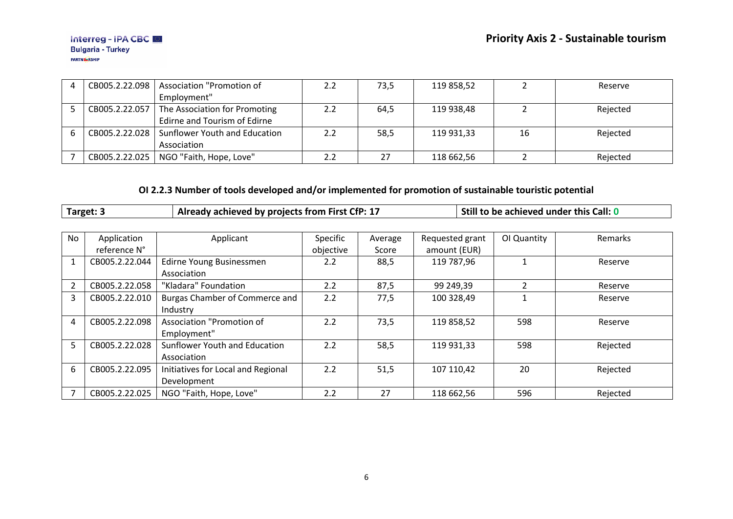| CB005.2.22.098 | Association "Promotion of                      | 2.2 | 73,5 | 119 858,52 |    | Reserve  |
|----------------|------------------------------------------------|-----|------|------------|----|----------|
|                | Employment"                                    |     |      |            |    |          |
| CB005.2.22.057 | The Association for Promoting                  | 2.2 | 64,5 | 119 938.48 |    | Rejected |
|                | Edirne and Tourism of Edirne                   |     |      |            |    |          |
|                | CB005.2.22.028   Sunflower Youth and Education |     | 58,5 | 119 931,33 | 16 | Rejected |
|                | Association                                    |     |      |            |    |          |
|                | CB005.2.22.025   NGO "Faith, Hope, Love"       |     | 27   | 118 662,56 |    | Rejected |

### **OI 2.2.3 Number of tools developed and/or implemented for promotion of sustainable touristic potential**

|                | Target: 3      | Already achieved by projects from First CfP: 17 |           |         |                 | Still to be achieved under this Call: 0 |                |
|----------------|----------------|-------------------------------------------------|-----------|---------|-----------------|-----------------------------------------|----------------|
|                |                |                                                 |           |         |                 |                                         |                |
| <b>No</b>      | Application    | Applicant                                       | Specific  | Average | Requested grant | OI Quantity                             | <b>Remarks</b> |
|                | reference N°   |                                                 | objective | Score   | amount (EUR)    |                                         |                |
| $\mathbf{1}$   | CB005.2.22.044 | Edirne Young Businessmen                        | 2.2       | 88,5    | 119 787,96      |                                         | Reserve        |
|                |                | Association                                     |           |         |                 |                                         |                |
| $\overline{2}$ | CB005.2.22.058 | "Kladara" Foundation                            | 2.2       | 87,5    | 99 249,39       | $\overline{2}$                          | Reserve        |
| 3              | CB005.2.22.010 | Burgas Chamber of Commerce and                  | 2.2       | 77,5    | 100 328,49      |                                         | Reserve        |
|                |                | Industry                                        |           |         |                 |                                         |                |
| 4              | CB005.2.22.098 | Association "Promotion of                       | 2.2       | 73,5    | 119 858,52      | 598                                     | Reserve        |
|                |                | Employment"                                     |           |         |                 |                                         |                |
| 5              | CB005.2.22.028 | Sunflower Youth and Education                   | 2.2       | 58,5    | 119 931,33      | 598                                     | Rejected       |
|                |                | Association                                     |           |         |                 |                                         |                |
| 6              | CB005.2.22.095 | Initiatives for Local and Regional              | 2.2       | 51,5    | 107 110,42      | 20                                      | Rejected       |
|                |                | Development                                     |           |         |                 |                                         |                |
|                | CB005.2.22.025 | NGO "Faith, Hope, Love"                         | 2.2       | 27      | 118 662,56      | 596                                     | Rejected       |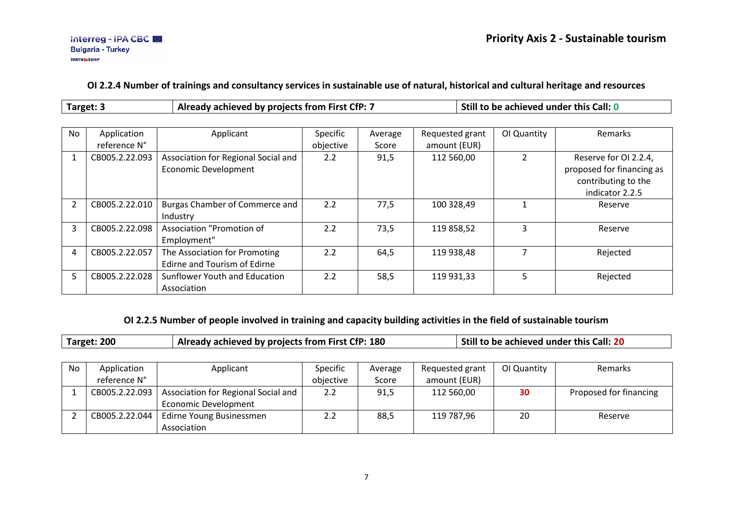#### **OI 2.2.4 Number of trainings and consultancy services in sustainable use of natural, historical and cultural heritage and resources**

| <b>Carget:</b> | , achieved by proiects from First CfP: $\bar{ }$<br>adv : | achieved under this Call: L<br>, ne : |
|----------------|-----------------------------------------------------------|---------------------------------------|
|----------------|-----------------------------------------------------------|---------------------------------------|

| No | Application<br>reference N° | Applicant                                                          | Specific<br>objective | Average<br>Score | Requested grant<br>amount (EUR) | OI Quantity | <b>Remarks</b>                                                                               |
|----|-----------------------------|--------------------------------------------------------------------|-----------------------|------------------|---------------------------------|-------------|----------------------------------------------------------------------------------------------|
|    | CB005.2.22.093              | Association for Regional Social and<br><b>Economic Development</b> | 2.2                   | 91,5             | 112 560,00                      |             | Reserve for OI 2.2.4,<br>proposed for financing as<br>contributing to the<br>indicator 2.2.5 |
|    | CB005.2.22.010              | Burgas Chamber of Commerce and<br>Industry                         | 2.2                   | 77,5             | 100 328,49                      |             | Reserve                                                                                      |
| 3  | CB005.2.22.098              | Association "Promotion of<br>Employment"                           | 2.2                   | 73,5             | 119 858,52                      |             | Reserve                                                                                      |
| 4  | CB005.2.22.057              | The Association for Promoting<br>Edirne and Tourism of Edirne      | 2.2                   | 64,5             | 119 938,48                      |             | Rejected                                                                                     |
|    | CB005.2.22.028              | Sunflower Youth and Education<br>Association                       | 2.2                   | 58,5             | 119 931,33                      | 5           | Rejected                                                                                     |

### **OI 2.2.5 Number of people involved in training and capacity building activities in the field of sustainable tourism**

|    | Target: 200    | Already achieved by projects from First CfP: 180 |           |         | Still to be achieved under this Call: 20 |             |                        |
|----|----------------|--------------------------------------------------|-----------|---------|------------------------------------------|-------------|------------------------|
|    |                |                                                  |           |         |                                          |             |                        |
| No | Application    | Applicant                                        | Specific  | Average | Requested grant                          | OI Quantity | Remarks                |
|    | reference N°   |                                                  | objective | Score   | amount (EUR)                             |             |                        |
|    | CB005.2.22.093 | Association for Regional Social and              | 2.2       | 91,5    | 112 560,00                               | 30          | Proposed for financing |
|    |                | <b>Economic Development</b>                      |           |         |                                          |             |                        |
|    | CB005.2.22.044 | Edirne Young Businessmen                         | 2.2       | 88,5    | 119 787,96                               | 20          | Reserve                |
|    |                | Association                                      |           |         |                                          |             |                        |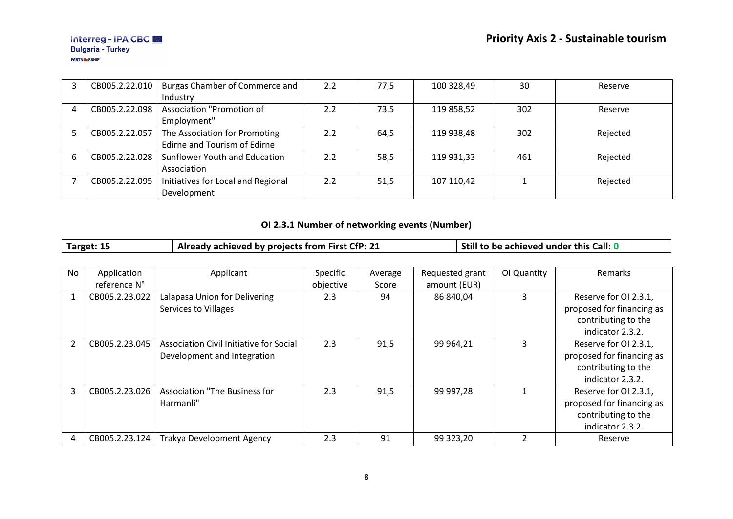|   | CB005.2.22.010 | Burgas Chamber of Commerce and     | 2.2 | 77,5 | 100 328,49 | 30  | Reserve  |
|---|----------------|------------------------------------|-----|------|------------|-----|----------|
|   |                | Industry                           |     |      |            |     |          |
| 4 | CB005.2.22.098 | Association "Promotion of          | 2.2 | 73,5 | 119 858,52 | 302 | Reserve  |
|   |                | Employment"                        |     |      |            |     |          |
|   | CB005.2.22.057 | The Association for Promoting      | 2.2 | 64,5 | 119 938,48 | 302 | Rejected |
|   |                | Edirne and Tourism of Edirne       |     |      |            |     |          |
|   | CB005.2.22.028 | Sunflower Youth and Education      | 2.2 | 58,5 | 119 931,33 | 461 | Rejected |
|   |                | Association                        |     |      |            |     |          |
|   | CB005.2.22.095 | Initiatives for Local and Regional | 2.2 | 51,5 | 107 110,42 |     | Rejected |
|   |                | Development                        |     |      |            |     |          |

# **OI 2.3.1 Number of networking events (Number)**

| Target: 15 | Already achieved by projects from First CfP: 21 | Still to be achieved under this Call: 0 |
|------------|-------------------------------------------------|-----------------------------------------|
|------------|-------------------------------------------------|-----------------------------------------|

| <b>No</b>      | Application    | Applicant                               | Specific  | Average | Requested grant | OI Quantity | Remarks                   |
|----------------|----------------|-----------------------------------------|-----------|---------|-----------------|-------------|---------------------------|
|                | reference N°   |                                         | objective | Score   | amount (EUR)    |             |                           |
|                | CB005.2.23.022 | Lalapasa Union for Delivering           | 2.3       | 94      | 86 840,04       | 3           | Reserve for OI 2.3.1,     |
|                |                | <b>Services to Villages</b>             |           |         |                 |             | proposed for financing as |
|                |                |                                         |           |         |                 |             | contributing to the       |
|                |                |                                         |           |         |                 |             | indicator 2.3.2.          |
| $\overline{2}$ | CB005.2.23.045 | Association Civil Initiative for Social | 2.3       | 91,5    | 99 964,21       | 3           | Reserve for OI 2.3.1,     |
|                |                | Development and Integration             |           |         |                 |             | proposed for financing as |
|                |                |                                         |           |         |                 |             | contributing to the       |
|                |                |                                         |           |         |                 |             | indicator 2.3.2.          |
| 3              | CB005.2.23.026 | <b>Association "The Business for</b>    | 2.3       | 91,5    | 99 997,28       |             | Reserve for OI 2.3.1,     |
|                |                | Harmanli"                               |           |         |                 |             | proposed for financing as |
|                |                |                                         |           |         |                 |             | contributing to the       |
|                |                |                                         |           |         |                 |             | indicator 2.3.2.          |
| 4              | CB005.2.23.124 | <b>Trakya Development Agency</b>        | 2.3       | 91      | 99 323,20       |             | Reserve                   |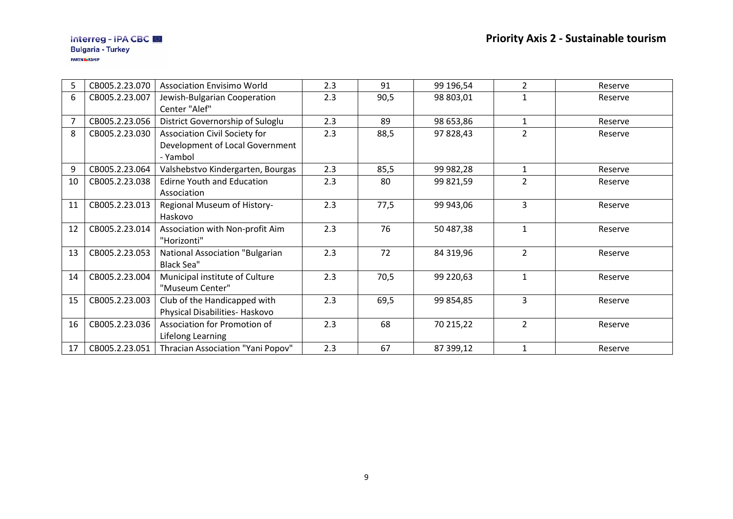| 5              | CB005.2.23.070 | <b>Association Envisimo World</b>                              | 2.3 | 91   | 99 196,54 | $\overline{2}$ | Reserve |
|----------------|----------------|----------------------------------------------------------------|-----|------|-----------|----------------|---------|
| 6              | CB005.2.23.007 | Jewish-Bulgarian Cooperation                                   | 2.3 | 90,5 | 98 803,01 | $\mathbf{1}$   | Reserve |
|                |                | Center "Alef"                                                  |     |      |           |                |         |
| $\overline{7}$ | CB005.2.23.056 | District Governorship of Suloglu                               | 2.3 | 89   | 98 653,86 | $\mathbf{1}$   | Reserve |
| 8              | CB005.2.23.030 | Association Civil Society for                                  | 2.3 | 88,5 | 97 828,43 | $\overline{2}$ | Reserve |
|                |                | Development of Local Government<br>- Yambol                    |     |      |           |                |         |
| 9              | CB005.2.23.064 | Valshebstvo Kindergarten, Bourgas                              | 2.3 | 85,5 | 99 982,28 | $\mathbf{1}$   | Reserve |
| 10             | CB005.2.23.038 | <b>Edirne Youth and Education</b><br>Association               | 2.3 | 80   | 99 821,59 | $\overline{2}$ | Reserve |
| 11             | CB005.2.23.013 | Regional Museum of History-<br>Haskovo                         | 2.3 | 77,5 | 99 943,06 | 3              | Reserve |
| 12             | CB005.2.23.014 | Association with Non-profit Aim<br>"Horizonti"                 | 2.3 | 76   | 50 487,38 | $\mathbf{1}$   | Reserve |
| 13             | CB005.2.23.053 | <b>National Association "Bulgarian</b><br><b>Black Sea"</b>    | 2.3 | 72   | 84 319,96 | $\overline{2}$ | Reserve |
| 14             | CB005.2.23.004 | Municipal institute of Culture<br>"Museum Center"              | 2.3 | 70,5 | 99 220,63 | $\mathbf{1}$   | Reserve |
| 15             | CB005.2.23.003 | Club of the Handicapped with<br>Physical Disabilities- Haskovo | 2.3 | 69,5 | 99 854,85 | $\overline{3}$ | Reserve |
| 16             | CB005.2.23.036 | Association for Promotion of<br>Lifelong Learning              | 2.3 | 68   | 70 215,22 | $\overline{2}$ | Reserve |
| 17             | CB005.2.23.051 | Thracian Association "Yani Popov"                              | 2.3 | 67   | 87 399,12 | $\mathbf{1}$   | Reserve |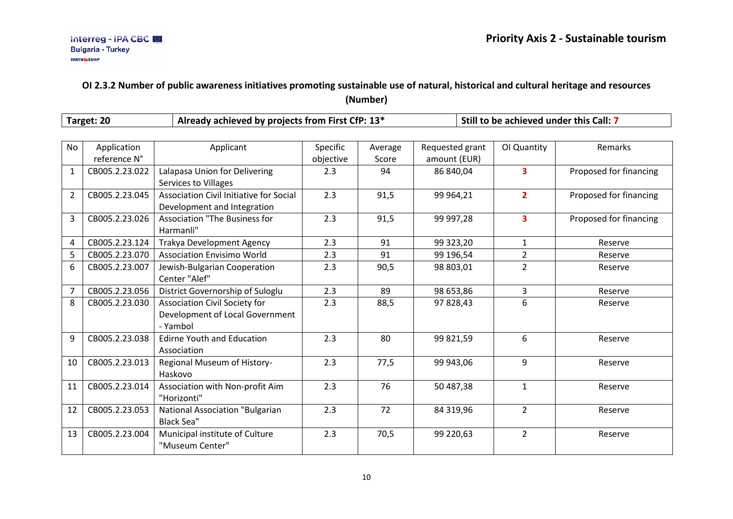### **OI 2.3.2 Number of public awareness initiatives promoting sustainable use of natural, historical and cultural heritage and resources (Number)**

|                | Target: 20     | Already achieved by projects from First CfP: 13* |           |         |                 | Still to be achieved under this Call: 7 |                        |  |
|----------------|----------------|--------------------------------------------------|-----------|---------|-----------------|-----------------------------------------|------------------------|--|
|                |                |                                                  |           |         |                 |                                         |                        |  |
| No             | Application    | Applicant                                        | Specific  | Average | Requested grant | OI Quantity                             | Remarks                |  |
|                | reference N°   |                                                  | objective | Score   | amount (EUR)    |                                         |                        |  |
| $\mathbf{1}$   | CB005.2.23.022 | Lalapasa Union for Delivering                    | 2.3       | 94      | 86 840,04       | $\overline{\mathbf{3}}$                 | Proposed for financing |  |
|                |                | <b>Services to Villages</b>                      |           |         |                 |                                         |                        |  |
| $\overline{2}$ | CB005.2.23.045 | Association Civil Initiative for Social          | 2.3       | 91,5    | 99 964,21       | $\overline{2}$                          | Proposed for financing |  |
|                |                | Development and Integration                      |           |         |                 |                                         |                        |  |
| 3              | CB005.2.23.026 | <b>Association "The Business for</b>             | 2.3       | 91,5    | 99 997,28       | $\overline{\mathbf{3}}$                 | Proposed for financing |  |
|                |                | Harmanli"                                        |           |         |                 |                                         |                        |  |
| 4              | CB005.2.23.124 | <b>Trakya Development Agency</b>                 | 2.3       | 91      | 99 323,20       | $\mathbf{1}$                            | Reserve                |  |
| 5              | CB005.2.23.070 | <b>Association Envisimo World</b>                | 2.3       | 91      | 99 196,54       | $\overline{2}$                          | Reserve                |  |
| 6              | CB005.2.23.007 | Jewish-Bulgarian Cooperation                     | 2.3       | 90,5    | 98 803,01       | $\overline{2}$                          | Reserve                |  |
|                |                | Center "Alef"                                    |           |         |                 |                                         |                        |  |
| 7              | CB005.2.23.056 | District Governorship of Suloglu                 | 2.3       | 89      | 98 653,86       | 3                                       | Reserve                |  |
| 8              | CB005.2.23.030 | Association Civil Society for                    | 2.3       | 88,5    | 97 828,43       | 6                                       | Reserve                |  |
|                |                | Development of Local Government                  |           |         |                 |                                         |                        |  |
|                |                | - Yambol                                         |           |         |                 |                                         |                        |  |
| 9              | CB005.2.23.038 | <b>Edirne Youth and Education</b>                | 2.3       | 80      | 99 821,59       | 6                                       | Reserve                |  |
|                |                | Association                                      |           |         |                 |                                         |                        |  |
| 10             | CB005.2.23.013 | Regional Museum of History-                      | 2.3       | 77,5    | 99 943,06       | 9                                       | Reserve                |  |
|                |                | Haskovo                                          |           |         |                 |                                         |                        |  |
| 11             | CB005.2.23.014 | Association with Non-profit Aim                  | 2.3       | 76      | 50 487,38       | $\mathbf{1}$                            | Reserve                |  |
|                |                | "Horizonti"                                      |           |         |                 |                                         |                        |  |
| 12             | CB005.2.23.053 | <b>National Association "Bulgarian</b>           | 2.3       | 72      | 84 319,96       | $\overline{2}$                          | Reserve                |  |
|                |                | <b>Black Sea"</b>                                |           |         |                 |                                         |                        |  |
| 13             | CB005.2.23.004 | Municipal institute of Culture                   | 2.3       | 70,5    | 99 220,63       | $\overline{2}$                          | Reserve                |  |
|                |                | "Museum Center"                                  |           |         |                 |                                         |                        |  |